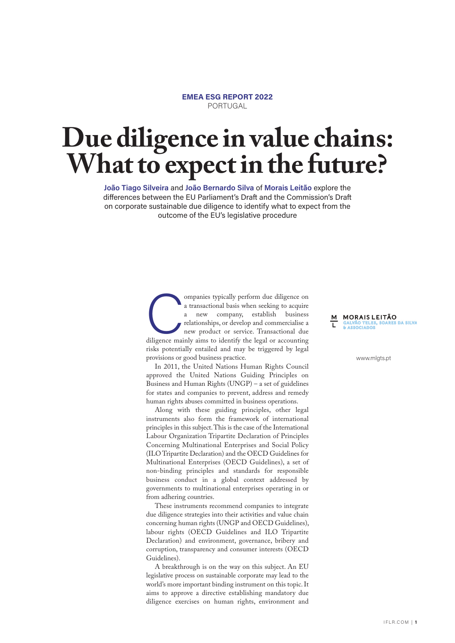## **EMEA ESG REPORT 2022** PORTUGAL

## **Due diligence in value chains: What to expect in the future?**

**João Tiago Silveira** and **João Bernardo Silva** of **Morais Leitão** explore the differences between the EU Parliament's Draft and the Commission's Draft on corporate sustainable due diligence to identify what to expect from the outcome of the EU's legislative procedure

> **Companies typically perform due diligence on a transactional basis when seeking to acquire a new company, establish business relationships, or develop and commercialise a new product or service. Transactional due diligenc** a transactional basis when seeking to acquire a new company, establish business relationships, or develop and commercialise a new product or service. Transactional due diligence mainly aims to identify the legal or accounting risks potentially entailed and may be triggered by legal provisions or good business practice.

In 2011, the United Nations Human Rights Council approved the United Nations Guiding Principles on Business and Human Rights (UNGP) – a set of guidelines for states and companies to prevent, address and remedy human rights abuses committed in business operations.

Along with these guiding principles, other legal instruments also form the framework of international principles in this subject. This is the case of the International Labour Organization Tripartite Declaration of Principles Concerning Multinational Enterprises and Social Policy (ILO Tripartite Declaration) and the OECD Guidelines for Multinational Enterprises (OECD Guidelines), a set of non-binding principles and standards for responsible business conduct in a global context addressed by governments to multinational enterprises operating in or from adhering countries.

These instruments recommend companies to integrate due diligence strategies into their activities and value chain concerning human rights (UNGP and OECD Guidelines), labour rights (OECD Guidelines and ILO Tripartite Declaration) and environment, governance, bribery and corruption, transparency and consumer interests (OECD Guidelines).

A breakthrough is on the way on this subject. An EU legislative process on sustainable corporate may lead to the world's more important binding instrument on this topic. It aims to approve a directive establishing mandatory due diligence exercises on human rights, environment and

**M** MORAIS LEITÃO<br>T GALVÃO TELES, SOARES DA SILVA GALVAO TELES<br>*&* ASSOCIADOS

www.mlgts.pt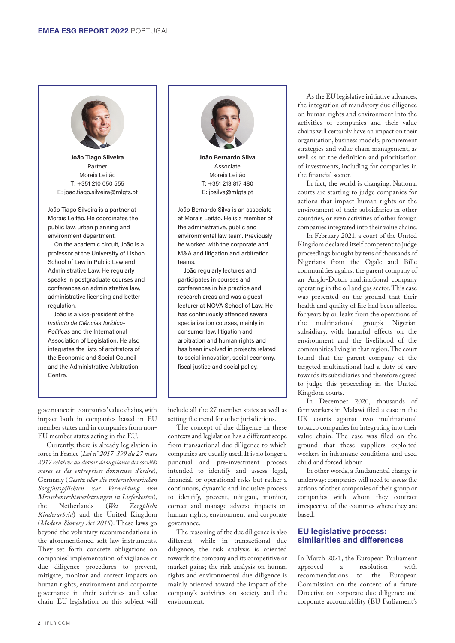

**João Tiago Silveira** Partner Morais Leitão T: +351 210 050 555 E: joao.tiago.silveira@mlgts.pt

João Tiago Silveira is a partner at Morais Leitão. He coordinates the public law, urban planning and environment department.

On the academic circuit, João is a professor at the University of Lisbon School of Law in Public Law and Administrative Law. He regularly speaks in postgraduate courses and conferences on administrative law, administrative licensing and better regulation.

João is a vice-president of the *Instituto de Ciências Jurídico-Políticas* and the International Association of Legislation. He also integrates the lists of arbitrators of the Economic and Social Council and the Administrative Arbitration Centre.

governance in companies' value chains, with impact both in companies based in EU member states and in companies from non-EU member states acting in the EU.

Currently, there is already legislation in force in France (*Loi n° 2017-399 du 27 mars 2017 relative au devoir de vigilance des sociétés mères et des entreprises donneuses d'ordre*), Germany (*Gesetz über die unternehmerischen Sorgfaltspflichten zur Vermeidung von Menschenrechtsverletzungen in Lieferketten*), the Netherlands (*Wet Zorgplicht Kinderarbeid*) and the United Kingdom (*Modern Slavery Act 2015*). These laws go beyond the voluntary recommendations in the aforementioned soft law instruments. They set forth concrete obligations on companies' implementation of vigilance or due diligence procedures to prevent, mitigate, monitor and correct impacts on human rights, environment and corporate governance in their activities and value chain. EU legislation on this subject will



**João Bernardo Silva** Associate Morais Leitão T: +351 213 817 480 E: jbsilva@mlgts.pt

João Bernardo Silva is an associate at Morais Leitão. He is a member of the administrative, public and environmental law team. Previously he worked with the corporate and M&A and litigation and arbitration teams.

João regularly lectures and participates in courses and conferences in his practice and research areas and was a guest lecturer at NOVA School of Law. He has continuously attended several specialization courses, mainly in consumer law, litigation and arbitration and human rights and has been involved in projects related to social innovation, social economy, fiscal justice and social policy.

include all the 27 member states as well as setting the trend for other jurisdictions.

The concept of due diligence in these contexts and legislation has a different scope from transactional due diligence to which companies are usually used. It is no longer a punctual and pre-investment process intended to identify and assess legal, financial, or operational risks but rather a continuous, dynamic and inclusive process to identify, prevent, mitigate, monitor, correct and manage adverse impacts on human rights, environment and corporate governance.

The reasoning of the due diligence is also different: while in transactional due diligence, the risk analysis is oriented towards the company and its competitive or market gains; the risk analysis on human rights and environmental due diligence is mainly oriented toward the impact of the company's activities on society and the environment.

As the EU legislative initiative advances, the integration of mandatory due diligence on human rights and environment into the activities of companies and their value chains will certainly have an impact on their organisation, business models, procurement strategies and value chain management, as well as on the definition and prioritisation of investments, including for companies in the financial sector.

In fact, the world is changing. National courts are starting to judge companies for actions that impact human rights or the environment of their subsidiaries in other countries, or even activities of other foreign companies integrated into their value chains.

In February 2021, a court of the United Kingdom declared itself competent to judge proceedings brought by tens of thousands of Nigerians from the Ogale and Bille communities against the parent company of an Anglo-Dutch multinational company operating in the oil and gas sector. This case was presented on the ground that their health and quality of life had been affected for years by oil leaks from the operations of the multinational group's Nigerian subsidiary, with harmful effects on the environment and the livelihood of the communities living in that region. The court found that the parent company of the targeted multinational had a duty of care towards its subsidiaries and therefore agreed to judge this proceeding in the United Kingdom courts.

In December 2020, thousands of farmworkers in Malawi filed a case in the UK courts against two multinational tobacco companies for integrating into their value chain. The case was filed on the ground that these suppliers exploited workers in inhumane conditions and used child and forced labour.

In other words, a fundamental change is underway: companies will need to assess the actions of other companies of their group or companies with whom they contract irrespective of the countries where they are based.

## **EU legislative process: similarities and differences**

In March 2021, the European Parliament approved a resolution with recommendations to the European Commission on the content of a future Directive on corporate due diligence and corporate accountability (EU Parliament's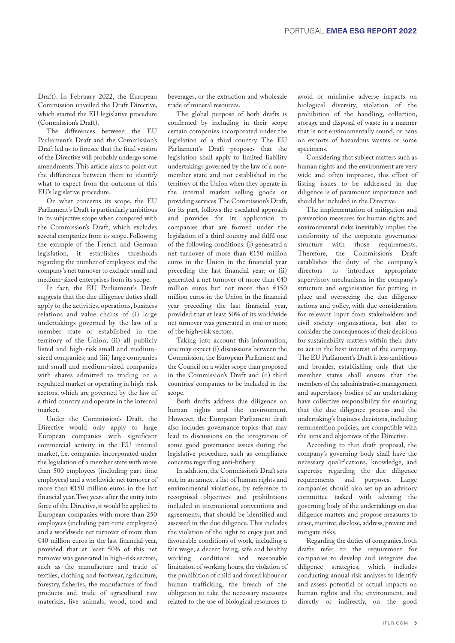Draft). In February 2022, the European Commission unveiled the Draft Directive, which started the EU legislative procedure (Commission's Draft).

The differences between the EU Parliament's Draft and the Commission's Draft led us to foresee that the final version of the Directive will probably undergo some amendments. This article aims to point out the differences between them to identify what to expect from the outcome of this EU's legislative procedure.

On what concerns its scope, the EU Parliament's Draft is particularly ambitious in its subjective scope when compared with the Commission's Draft, which excludes several companies from its scope. Following the example of the French and German legislation, it establishes thresholds regarding the number of employees and the company's net turnover to exclude small and medium-sized enterprises from its scope.

In fact, the EU Parliament's Draft suggests that the due diligence duties shall apply to the activities, operations, business relations and value chains of (i) large undertakings governed by the law of a member state or established in the territory of the Union; (ii) all publicly listed and high-risk small and mediumsized companies; and (iii) large companies and small and medium-sized companies with shares admitted to trading on a regulated market or operating in high-risk sectors, which are governed by the law of a third country and operate in the internal market.

Under the Commission's Draft, the Directive would only apply to large European companies with significant commercial activity in the EU internal market, i.e. companies incorporated under the legislation of a member state with more than 500 employees (including part-time employees) and a worldwide net turnover of more than €150 million euros in the last financial year. Two years after the entry into force of the Directive, it would be applied to European companies with more than 250 employees (including part-time employees) and a worldwide net turnover of more than €40 million euros in the last financial year, provided that at least 50% of this net turnover was generated in high-risk sectors, such as the manufacture and trade of textiles, clothing and footwear, agriculture, forestry, fisheries, the manufacture of food products and trade of agricultural raw materials, live animals, wood, food and

beverages, or the extraction and wholesale trade of mineral resources.

The global purpose of both drafts is confirmed by including in their scope certain companies incorporated under the legislation of a third country. The EU Parliament's Draft proposes that the legislation shall apply to limited liability undertakings governed by the law of a nonmember state and not established in the territory of the Union when they operate in the internal market selling goods or providing services. The Commission's Draft, for its part, follows the escalated approach and provides for its application to companies that are formed under the legislation of a third country and fulfil one of the following conditions: (i) generated a net turnover of more than €150 million euros in the Union in the financial year preceding the last financial year; or (ii) generated a net turnover of more than €40 million euros but not more than €150 million euros in the Union in the financial year preceding the last financial year, provided that at least 50% of its worldwide net turnover was generated in one or more of the high-risk sectors.

Taking into account this information, one may expect (i) discussions between the Commission, the European Parliament and the Council on a wider scope than proposed in the Commission's Draft and (ii) third countries' companies to be included in the scope.

Both drafts address due diligence on human rights and the environment. However, the European Parliament draft also includes governance topics that may lead to discussions on the integration of some good governance issues during the legislative procedure, such as compliance concerns regarding anti-bribery.

In addition, the Commission's Draft sets out, in an annex, a list of human rights and environmental violations, by reference to recognised objectives and prohibitions included in international conventions and agreements, that should be identified and assessed in the due diligence. This includes the violation of the right to enjoy just and favourable conditions of work, including a fair wage, a decent living, safe and healthy working conditions and reasonable limitation of working hours, the violation of the prohibition of child and forced labour or human trafficking, the breach of the obligation to take the necessary measures related to the use of biological resources to

avoid or minimise adverse impacts on biological diversity, violation of the prohibition of the handling, collection, storage and disposal of waste in a manner that is not environmentally sound, or bans on exports of hazardous wastes or some specimens.

Considering that subject matters such as human rights and the environment are very wide and often imprecise, this effort of listing issues to be addressed in due diligence is of paramount importance and should be included in the Directive.

The implementation of mitigation and prevention measures for human rights and environmental risks inevitably implies the conformity of the corporate governance structure with those requirements. Therefore, the Commission's Draft establishes the duty of the company's directors to introduce appropriate supervisory mechanisms in the company's structure and organisation for putting in place and overseeing the due diligence actions and policy, with due consideration for relevant input from stakeholders and civil society organisations, but also to consider the consequences of their decisions for sustainability matters within their duty to act in the best interest of the company. The EU Parliament's Draft is less ambitious and broader, establishing only that the member states shall ensure that the members of the administrative, management and supervisory bodies of an undertaking have collective responsibility for ensuring that the due diligence process and the undertaking's business decisions, including remuneration policies, are compatible with the aims and objectives of the Directive.

According to that draft proposal, the company's governing body shall have the necessary qualifications, knowledge, and expertise regarding the due diligence requirements and purposes. Large companies should also set up an advisory committee tasked with advising the governing body of the undertakings on due diligence matters and propose measures to cease, monitor, disclose, address, prevent and mitigate risks.

Regarding the duties of companies, both drafts refer to the requirement for companies to develop and integrate due diligence strategies, which includes conducting annual risk analyses to identify and assess potential or actual impacts on human rights and the environment, and directly or indirectly, on the good